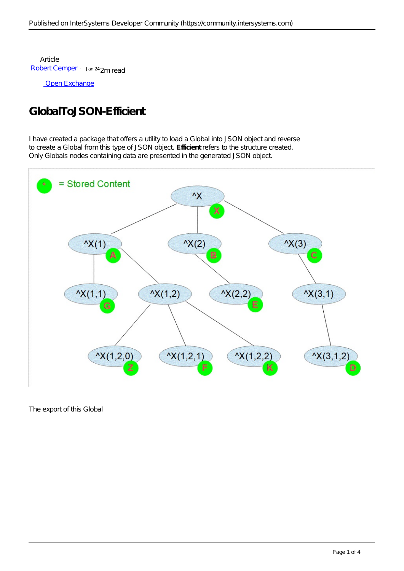Article [Robert Cemper](https://community.intersystems.com/user/robert-cemper-0) Jan 24 2m read

[Open Exchange](https://openexchange.intersystems.com/package/GlobalToJSON-Efficient)

## **GlobalToJSON-Efficient**

I have created a package that offers a utility to load a Global into JSON object and reverse to create a Global from this type of JSON object. *Efficient* refers to the structure created. Only Globals nodes containing data are presented in the generated JSON object.



The export of this Global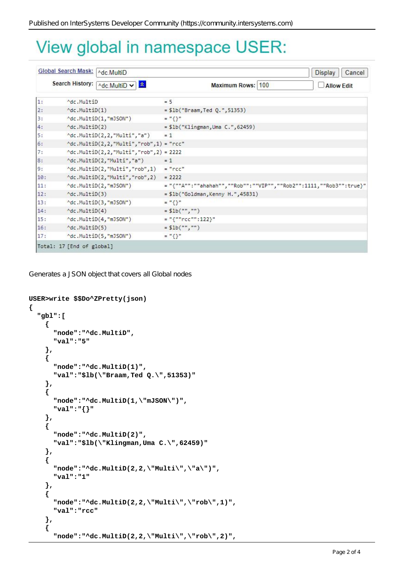## View global in namespace USER:

| Global Search Mask:   ^dc.MultiD |                                        |                                                                     |                                                                    | <b>Display</b><br>Cancel |
|----------------------------------|----------------------------------------|---------------------------------------------------------------------|--------------------------------------------------------------------|--------------------------|
|                                  | Search History:   ^dc.MultiD ~         | $ \mathbf{x} $                                                      | Maximum Rows: 100                                                  | <b>Allow Edit</b>        |
| 1:                               | Adc.MultiD                             |                                                                     | $= 5$                                                              |                          |
| $\overline{2}$ :                 | $\text{Mc.Multiply}(1)$                |                                                                     | $= $1b("Braam, Ted Q." , 51353)$                                   |                          |
| 3:                               |                                        | ^dc.MultiD(1,"mJSON")                                               | $=$ "{}"                                                           |                          |
| 4:                               | Mc.MultiD(2)                           |                                                                     | = \$1b("Klingman, Uma C.", 62459)                                  |                          |
| 5:                               |                                        | ^dc.MultiD(2,2,"Multi","a")                                         | $= 1$                                                              |                          |
| 6:                               |                                        | $\land$ dc.MultiD $(2, 2, \text{"Multi", "rob", 1}) = \text{"rcc"}$ |                                                                    |                          |
| 7:                               |                                        | $'dc.MultiD(2,2,'Multi", "rob", 2) = 2222$                          |                                                                    |                          |
| 8:                               |                                        | ^dc.MultiD(2,"Multi","a")                                           | $= 1$                                                              |                          |
| 9:                               |                                        | $\land$ dc.MultiD(2,"Multi","rob",1) = "rcc"                        |                                                                    |                          |
| 10:                              |                                        | $\land$ dc.MultiD(2,"Multi","rob",2) = 2222                         |                                                                    |                          |
| 11:                              |                                        | ^dc.MultiD(2,"mJSON")                                               | = "{""A"":""ahahah"",""Rob"":""VIP"",""Rob2"":1111,""Rob3"":true}" |                          |
| 12:                              | Mc.Multiply(3)                         |                                                                     | = \$1b("Goldman, Kenny H.", 45831)                                 |                          |
| 13:                              |                                        | ^dc.MultiD(3,"mJSON")                                               | $=$ "{}"                                                           |                          |
| 14:                              | $\sqrt{\mathsf{dc}}.\mathsf{Multi}(4)$ |                                                                     | $= $1b("", "")$                                                    |                          |
| 15:                              |                                        | ^dc.MultiD(4,"mJSON")                                               | $=$ "{""rcc"":122}"                                                |                          |
| 16:                              | Mc.Multiply(5)                         |                                                                     | $=$ \$1b("","")                                                    |                          |
| 17:                              |                                        | ^dc.MultiD(5,"mJSON")                                               | $=$ "{}"                                                           |                          |
|                                  | Total: 17 [End of global]              |                                                                     |                                                                    |                          |

Generates a JSON object that covers all Global nodes

```
USER>write $$Do^ZPretty(json)
{
   "gbl":[
     {
       "node":"^dc.MultiD",
       "val":"5"
     },
     {
       "node":"^dc.MultiD(1)",
       "val":"$lb(\"Braam,Ted Q.\",51353)"
     },
     {
        "node":"^dc.MultiD(1,\"mJSON\")",
       "val":"{}"
     },
     {
       "node":"^dc.MultiD(2)",
       "val":"$lb(\"Klingman,Uma C.\",62459)"
     },
     {
       "node":"^dc.MultiD(2,2,\"Multi\",\"a\")",
       "val":"1"
     },
     {
        "node":"^dc.MultiD(2,2,\"Multi\",\"rob\",1)",
       "val":"rcc"
     },
     {
        "node":"^dc.MultiD(2,2,\"Multi\",\"rob\",2)",
```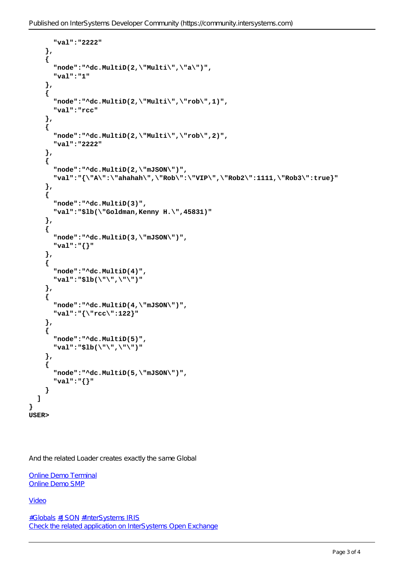```
 "val":"2222"
     },
     {
        "node":"^dc.MultiD(2,\"Multi\",\"a\")",
        "val":"1"
     },
     {
        "node":"^dc.MultiD(2,\"Multi\",\"rob\",1)",
        "val":"rcc"
     },
     {
        "node":"^dc.MultiD(2,\"Multi\",\"rob\",2)",
       "val":"2222"
     },
     {
        "node":"^dc.MultiD(2,\"mJSON\")",
        "val":"{\"A\":\"ahahah\",\"Rob\":\"VIP\",\"Rob2\":1111,\"Rob3\":true}"
     },
     {
        "node":"^dc.MultiD(3)",
        "val":"$lb(\"Goldman,Kenny H.\",45831)"
     },
     {
       "node":"^dc.MultiD(3,\"mJSON\")",
        "val":"{}"
     },
     {
        "node":"^dc.MultiD(4)",
       "val":"$lb(\"\",\"\")"
     },
     {
       "node":"^dc.MultiD(4,\"mJSON\")",
       "val":"{\"rcc\":122}"
     },
     {
        "node":"^dc.MultiD(5)",
       "val":"$lb(\"\",\"\")"
     },
     {
        "node":"^dc.MultiD(5,\"mJSON\")",
       "val":"{}"
     }
   ]
USER>
```
And the related Loader creates exactly the same Global

[Online Demo Terminal](https://gbl-to-json-e.demo.community.intersystems.com/terminal/) [Online Demo SMP](https://gbl-to-json-e.demo.community.intersystems.com/csp/sys/%25CSP.Portal.Home.zen)

[Video](https://www.youtube.com/watch?v=8Fz2537FHzc)

**}**

[#Globals](https://community.intersystems.com/tags/globals) [#JSON](https://community.intersystems.com/tags/json) [#InterSystems IRIS](https://community.intersystems.com/tags/intersystems-iris) [Check the related application on InterSystems Open Exchange](https://openexchange.intersystems.com/package/GlobalToJSON-Efficient)